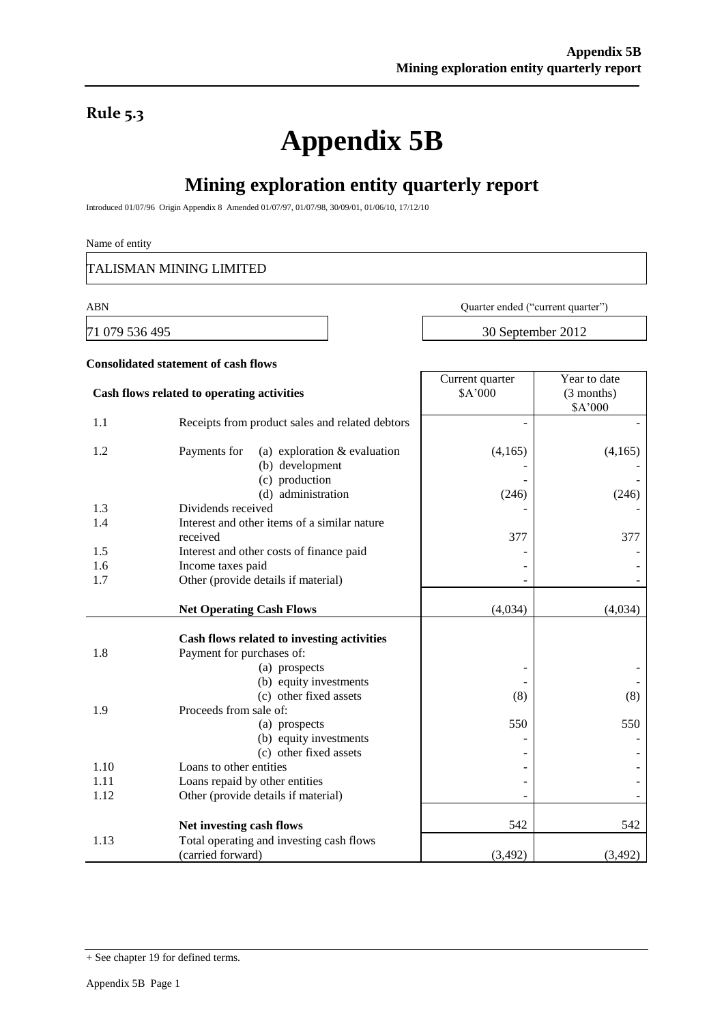### **Rule 5.3**

# **Appendix 5B**

# **Mining exploration entity quarterly report**

Introduced 01/07/96 Origin Appendix 8 Amended 01/07/97, 01/07/98, 30/09/01, 01/06/10, 17/12/10

#### Name of entity

TALISMAN MINING LIMITED

ABN Quarter ended ("current quarter")

71 079 536 495 30 September 2012

Year to date

Current quarter

## **Consolidated statement of cash flows**

|            | Cash flows related to operating activities                                                                                                                             | \$A'000  | $(3$ months)<br>\$A'000 |
|------------|------------------------------------------------------------------------------------------------------------------------------------------------------------------------|----------|-------------------------|
| 1.1        | Receipts from product sales and related debtors                                                                                                                        |          |                         |
| 1.2        | Payments for<br>(a) exploration $&$ evaluation<br>(b) development<br>(c) production                                                                                    | (4,165)  | (4,165)                 |
|            | (d) administration                                                                                                                                                     | (246)    | (246)                   |
| 1.3        | Dividends received                                                                                                                                                     |          |                         |
| 1.4        | Interest and other items of a similar nature<br>received                                                                                                               | 377      | 377                     |
| 1.5        | Interest and other costs of finance paid                                                                                                                               |          |                         |
| 1.6        | Income taxes paid                                                                                                                                                      |          |                         |
| 1.7        | Other (provide details if material)                                                                                                                                    |          |                         |
|            | <b>Net Operating Cash Flows</b>                                                                                                                                        | (4,034)  | (4,034)                 |
| 1.8<br>1.9 | Cash flows related to investing activities<br>Payment for purchases of:<br>(a) prospects<br>(b) equity investments<br>(c) other fixed assets<br>Proceeds from sale of: | (8)      | (8)                     |
|            | (a) prospects<br>(b) equity investments<br>(c) other fixed assets                                                                                                      | 550      | 550                     |
| 1.10       | Loans to other entities                                                                                                                                                |          |                         |
| 1.11       | Loans repaid by other entities                                                                                                                                         |          |                         |
| 1.12       | Other (provide details if material)                                                                                                                                    |          |                         |
|            | Net investing cash flows                                                                                                                                               | 542      | 542                     |
| 1.13       | Total operating and investing cash flows<br>(carried forward)                                                                                                          |          |                         |
|            |                                                                                                                                                                        | (3, 492) | (3,492)                 |

<sup>+</sup> See chapter 19 for defined terms.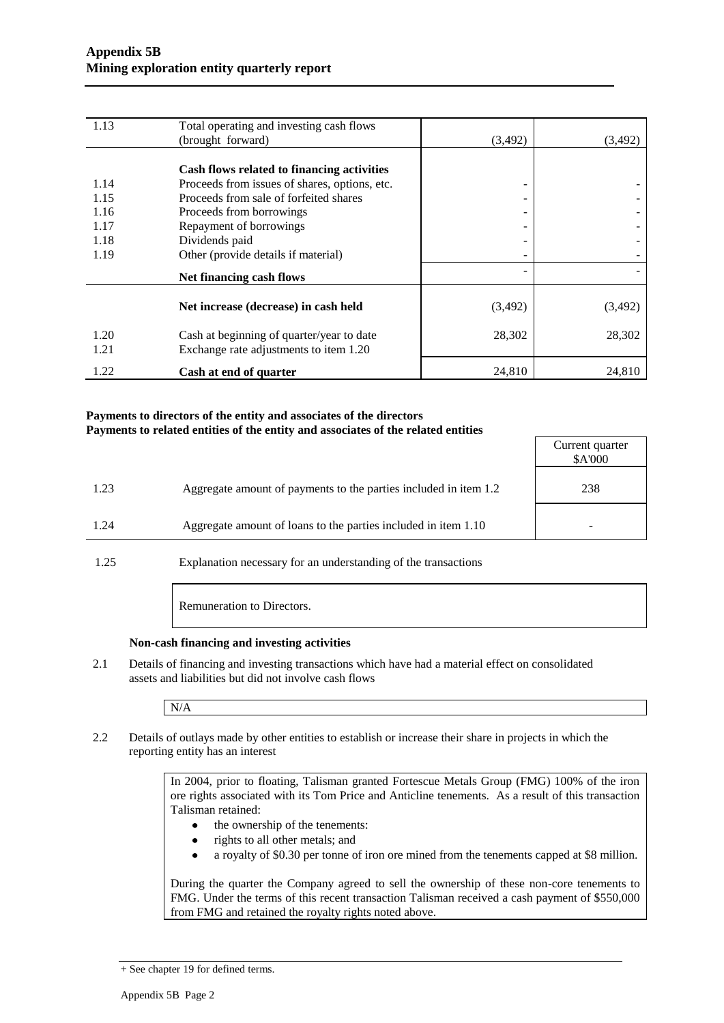| 1.13 | Total operating and investing cash flows      |          |          |
|------|-----------------------------------------------|----------|----------|
|      | (brought forward)                             | (3, 492) | (3, 492) |
|      |                                               |          |          |
|      | Cash flows related to financing activities    |          |          |
| 1.14 | Proceeds from issues of shares, options, etc. | -        |          |
| 1.15 | Proceeds from sale of forfeited shares        | -        |          |
| 1.16 | Proceeds from borrowings                      | -        |          |
| 1.17 | Repayment of borrowings                       | -        |          |
| 1.18 | Dividends paid                                | -        |          |
| 1.19 | Other (provide details if material)           | ۰        |          |
|      | Net financing cash flows                      |          |          |
|      | Net increase (decrease) in cash held          | (3,492)  | (3, 492) |
|      |                                               |          |          |
| 1.20 | Cash at beginning of quarter/year to date     | 28,302   | 28,302   |
| 1.21 | Exchange rate adjustments to item 1.20        |          |          |
| 1.22 | Cash at end of quarter                        | 24,810   | 24,810   |

#### **Payments to directors of the entity and associates of the directors Payments to related entities of the entity and associates of the related entities**

|      |                                                                  | Current quarter<br>\$A'000 |
|------|------------------------------------------------------------------|----------------------------|
| 1.23 | Aggregate amount of payments to the parties included in item 1.2 | 238                        |
| 1.24 | Aggregate amount of loans to the parties included in item 1.10   |                            |
|      |                                                                  |                            |

1.25 Explanation necessary for an understanding of the transactions

Remuneration to Directors.

#### **Non-cash financing and investing activities**

2.1 Details of financing and investing transactions which have had a material effect on consolidated assets and liabilities but did not involve cash flows

N/A

2.2 Details of outlays made by other entities to establish or increase their share in projects in which the reporting entity has an interest

> In 2004, prior to floating, Talisman granted Fortescue Metals Group (FMG) 100% of the iron ore rights associated with its Tom Price and Anticline tenements. As a result of this transaction Talisman retained:

- the ownership of the tenements:
- rights to all other metals; and  $\bullet$
- a royalty of \$0.30 per tonne of iron ore mined from the tenements capped at \$8 million.  $\bullet$

During the quarter the Company agreed to sell the ownership of these non-core tenements to FMG. Under the terms of this recent transaction Talisman received a cash payment of \$550,000 from FMG and retained the royalty rights noted above.

<sup>+</sup> See chapter 19 for defined terms.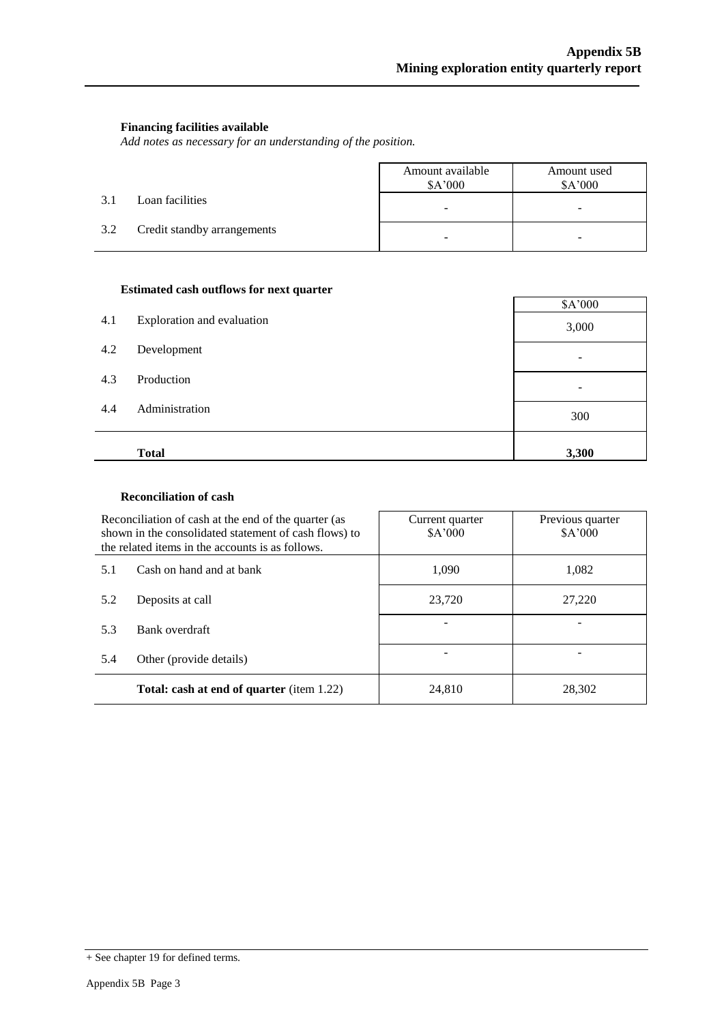#### **Financing facilities available**

*Add notes as necessary for an understanding of the position.*

|     |                             | Amount available<br>\$A'000 | Amount used<br>\$A'000   |
|-----|-----------------------------|-----------------------------|--------------------------|
| 3.1 | Loan facilities             | $\overline{\phantom{0}}$    | $\overline{\phantom{a}}$ |
| 3.2 | Credit standby arrangements | -                           |                          |

#### **Estimated cash outflows for next quarter**

| 4.1 | Exploration and evaluation | \$A'000<br>3,000 |
|-----|----------------------------|------------------|
| 4.2 | Development                |                  |
| 4.3 | Production                 |                  |
| 4.4 | Administration             | 300              |
|     | <b>Total</b>               | 3,300            |

#### **Reconciliation of cash**

|                                                  | Reconciliation of cash at the end of the quarter (as<br>shown in the consolidated statement of cash flows) to<br>the related items in the accounts is as follows. | Current quarter<br>\$A'000 | Previous quarter<br>\$A'000 |  |
|--------------------------------------------------|-------------------------------------------------------------------------------------------------------------------------------------------------------------------|----------------------------|-----------------------------|--|
| Cash on hand and at bank<br>5.1                  |                                                                                                                                                                   | 1.090                      | 1,082                       |  |
| Deposits at call<br>5.2<br>Bank overdraft<br>5.3 |                                                                                                                                                                   | 23,720                     | 27,220                      |  |
|                                                  |                                                                                                                                                                   |                            |                             |  |
| 5.4                                              | Other (provide details)                                                                                                                                           |                            |                             |  |
| <b>Total: cash at end of quarter</b> (item 1.22) |                                                                                                                                                                   | 24,810                     | 28,302                      |  |

<sup>+</sup> See chapter 19 for defined terms.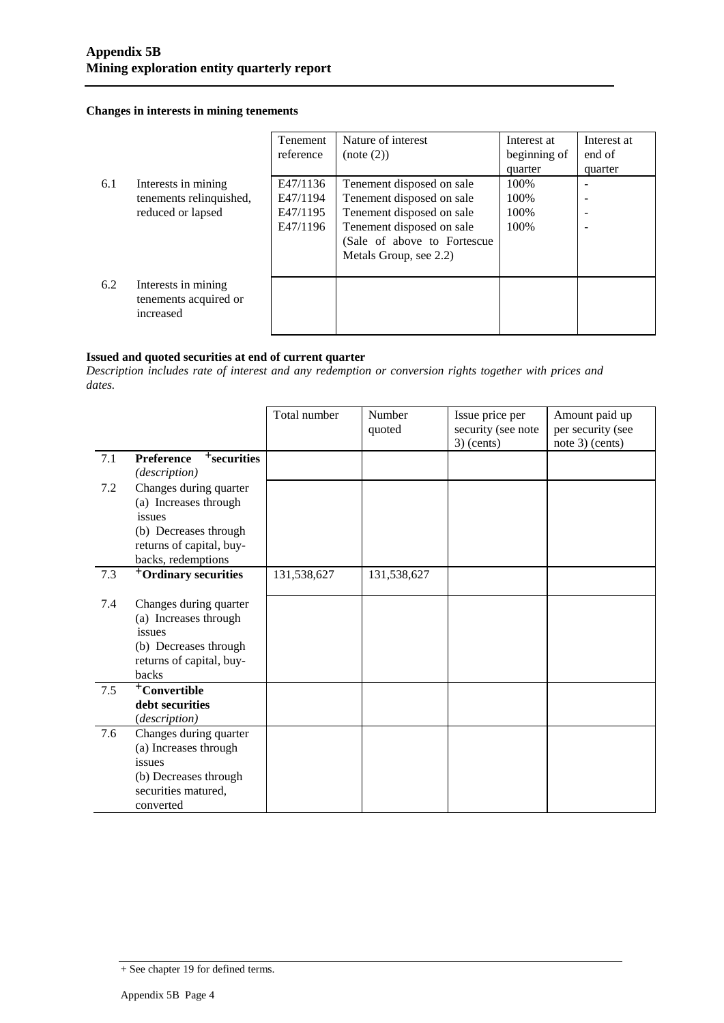#### **Changes in interests in mining tenements**

|     |                                                           | <b>Tenement</b><br>reference | Nature of interest<br>(note (2)) | Interest at<br>beginning of | Interest at<br>end of |
|-----|-----------------------------------------------------------|------------------------------|----------------------------------|-----------------------------|-----------------------|
|     |                                                           |                              |                                  | quarter                     | quarter               |
| 6.1 | Interests in mining                                       | E47/1136                     | Tenement disposed on sale        | 100%                        |                       |
|     | tenements relinquished,                                   | E47/1194                     | Tenement disposed on sale        | 100%                        |                       |
|     | reduced or lapsed                                         | E47/1195                     | Tenement disposed on sale        | 100%                        |                       |
|     |                                                           | E47/1196                     | Tenement disposed on sale        | 100\%                       |                       |
|     |                                                           |                              | (Sale of above to Fortescue      |                             |                       |
|     |                                                           |                              | Metals Group, see 2.2)           |                             |                       |
|     |                                                           |                              |                                  |                             |                       |
| 6.2 | Interests in mining<br>tenements acquired or<br>increased |                              |                                  |                             |                       |

#### **Issued and quoted securities at end of current quarter**

*Description includes rate of interest and any redemption or conversion rights together with prices and dates.*

|     |                                                 | Total number | Number<br>quoted | Issue price per<br>security (see note<br>$3)$ (cents) | Amount paid up<br>per security (see<br>note 3) (cents) |
|-----|-------------------------------------------------|--------------|------------------|-------------------------------------------------------|--------------------------------------------------------|
| 7.1 | $+$ securities<br><b>Preference</b>             |              |                  |                                                       |                                                        |
|     | (description)                                   |              |                  |                                                       |                                                        |
| 7.2 | Changes during quarter                          |              |                  |                                                       |                                                        |
|     | (a) Increases through                           |              |                  |                                                       |                                                        |
|     | issues                                          |              |                  |                                                       |                                                        |
|     | (b) Decreases through                           |              |                  |                                                       |                                                        |
|     | returns of capital, buy-                        |              |                  |                                                       |                                                        |
|     | backs, redemptions                              |              |                  |                                                       |                                                        |
| 7.3 | <sup>+</sup> Ordinary securities                | 131,538,627  | 131,538,627      |                                                       |                                                        |
|     |                                                 |              |                  |                                                       |                                                        |
| 7.4 | Changes during quarter<br>(a) Increases through |              |                  |                                                       |                                                        |
|     | issues                                          |              |                  |                                                       |                                                        |
|     | (b) Decreases through                           |              |                  |                                                       |                                                        |
|     | returns of capital, buy-                        |              |                  |                                                       |                                                        |
|     | backs                                           |              |                  |                                                       |                                                        |
| 7.5 | <sup>+</sup> Convertible                        |              |                  |                                                       |                                                        |
|     | debt securities                                 |              |                  |                                                       |                                                        |
|     | (description)                                   |              |                  |                                                       |                                                        |
| 7.6 | Changes during quarter                          |              |                  |                                                       |                                                        |
|     | (a) Increases through                           |              |                  |                                                       |                                                        |
|     | issues                                          |              |                  |                                                       |                                                        |
|     | (b) Decreases through                           |              |                  |                                                       |                                                        |
|     | securities matured,                             |              |                  |                                                       |                                                        |
|     | converted                                       |              |                  |                                                       |                                                        |

<sup>+</sup> See chapter 19 for defined terms.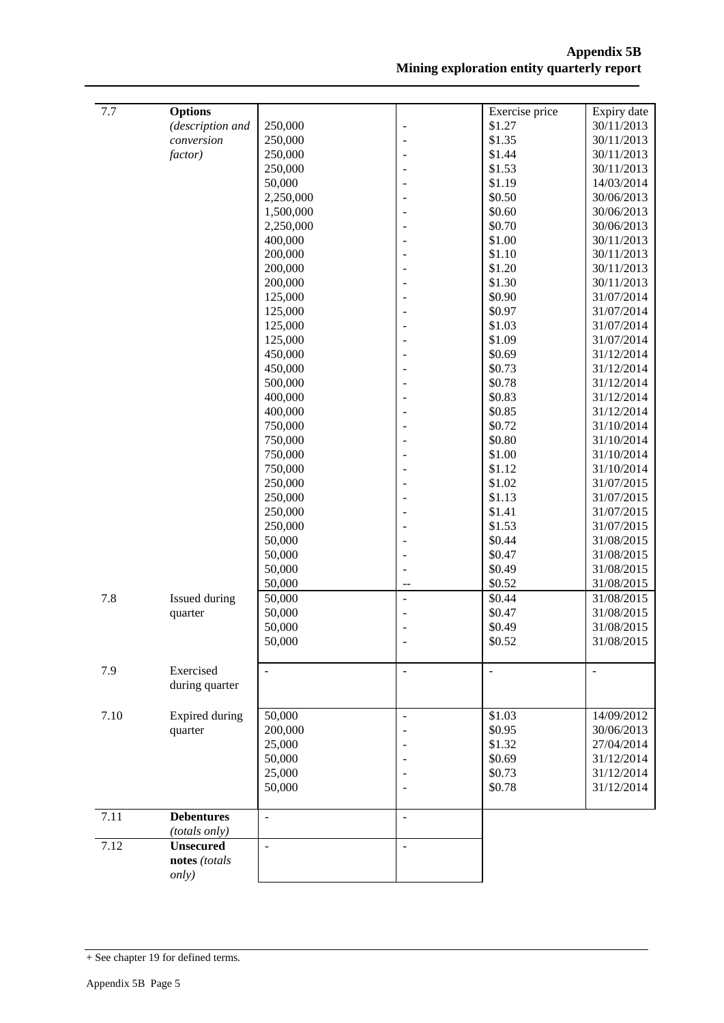| 7.7  | <b>Options</b>    |           |                          | Exercise price | Expiry date |
|------|-------------------|-----------|--------------------------|----------------|-------------|
|      | (description and  | 250,000   | $\overline{a}$           | \$1.27         | 30/11/2013  |
|      | conversion        | 250,000   |                          | \$1.35         | 30/11/2013  |
|      | factor)           | 250,000   |                          | \$1.44         | 30/11/2013  |
|      |                   | 250,000   |                          | \$1.53         | 30/11/2013  |
|      |                   | 50,000    |                          | \$1.19         | 14/03/2014  |
|      |                   | 2,250,000 |                          | \$0.50         | 30/06/2013  |
|      |                   | 1,500,000 |                          | \$0.60         | 30/06/2013  |
|      |                   | 2,250,000 |                          | \$0.70         | 30/06/2013  |
|      |                   | 400,000   |                          | \$1.00         | 30/11/2013  |
|      |                   | 200,000   |                          | \$1.10         | 30/11/2013  |
|      |                   | 200,000   |                          | \$1.20         | 30/11/2013  |
|      |                   | 200,000   |                          | \$1.30         | 30/11/2013  |
|      |                   | 125,000   |                          | \$0.90         | 31/07/2014  |
|      |                   | 125,000   |                          | \$0.97         | 31/07/2014  |
|      |                   | 125,000   |                          | \$1.03         | 31/07/2014  |
|      |                   | 125,000   |                          | \$1.09         | 31/07/2014  |
|      |                   | 450,000   |                          | \$0.69         | 31/12/2014  |
|      |                   | 450,000   |                          | \$0.73         | 31/12/2014  |
|      |                   | 500,000   |                          | \$0.78         | 31/12/2014  |
|      |                   | 400,000   |                          | \$0.83         | 31/12/2014  |
|      |                   | 400,000   |                          | \$0.85         | 31/12/2014  |
|      |                   | 750,000   |                          | \$0.72         | 31/10/2014  |
|      |                   | 750,000   |                          | \$0.80         | 31/10/2014  |
|      |                   | 750,000   |                          | \$1.00         | 31/10/2014  |
|      |                   | 750,000   |                          | \$1.12         | 31/10/2014  |
|      |                   | 250,000   |                          | \$1.02         | 31/07/2015  |
|      |                   | 250,000   |                          | \$1.13         | 31/07/2015  |
|      |                   | 250,000   |                          | \$1.41         | 31/07/2015  |
|      |                   | 250,000   |                          | \$1.53         | 31/07/2015  |
|      |                   | 50,000    |                          | \$0.44         | 31/08/2015  |
|      |                   | 50,000    |                          | \$0.47         | 31/08/2015  |
|      |                   | 50,000    |                          | \$0.49         | 31/08/2015  |
|      |                   | 50,000    | $\overline{\phantom{a}}$ | \$0.52         | 31/08/2015  |
| 7.8  | Issued during     | 50,000    | $\overline{a}$           | \$0.44         | 31/08/2015  |
|      | quarter           | 50,000    |                          | \$0.47         | 31/08/2015  |
|      |                   | 50,000    |                          | \$0.49         | 31/08/2015  |
|      |                   | 50,000    |                          | \$0.52         | 31/08/2015  |
| 7.9  | Exercised         | $\equiv$  | $\overline{a}$           | ÷,             | $\Box$      |
|      | during quarter    |           |                          |                |             |
|      |                   |           |                          |                |             |
| 7.10 | Expired during    | 50,000    | $\blacksquare$           | \$1.03         | 14/09/2012  |
|      | quarter           | 200,000   |                          | \$0.95         | 30/06/2013  |
|      |                   | 25,000    |                          | \$1.32         | 27/04/2014  |
|      |                   | 50,000    |                          | \$0.69         | 31/12/2014  |
|      |                   | 25,000    |                          | \$0.73         | 31/12/2014  |
|      |                   | 50,000    |                          | \$0.78         | 31/12/2014  |
| 7.11 | <b>Debentures</b> | -         | $\overline{a}$           |                |             |
|      | (totals only)     |           |                          |                |             |
| 7.12 | <b>Unsecured</b>  | ÷,        | $\overline{\phantom{a}}$ |                |             |
|      | notes (totals     |           |                          |                |             |
|      | only)             |           |                          |                |             |

<sup>+</sup> See chapter 19 for defined terms.